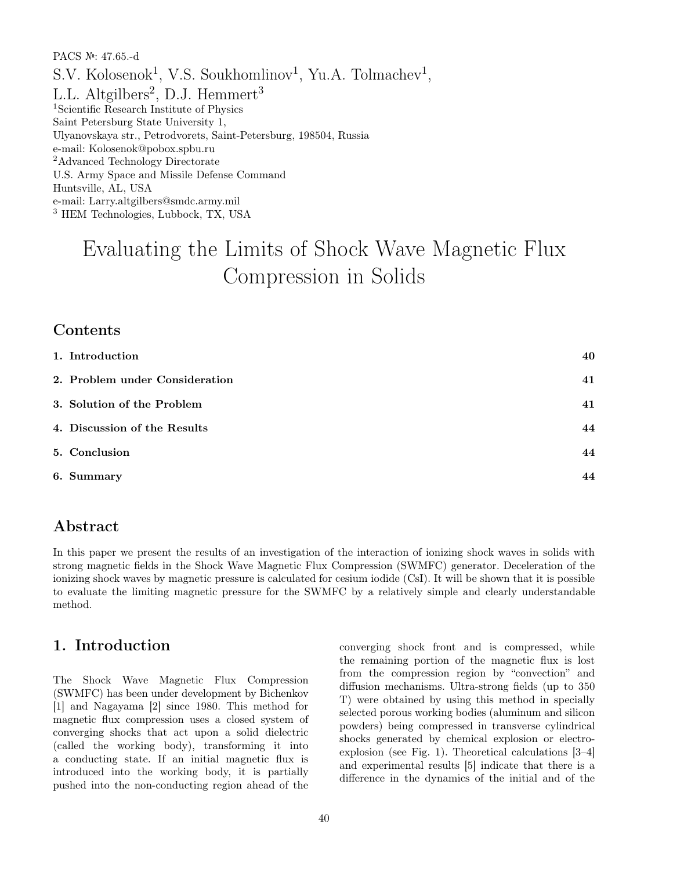PACS №: 47.65.-d S.V. Kolosenok<sup>1</sup>, V.S. Soukhomlinov<sup>1</sup>, Yu.A. Tolmachev<sup>1</sup>, L.L. Altgilbers<sup>2</sup>, D.J. Hemmert<sup>3</sup> <sup>1</sup>Scientific Research Institute of Physics Saint Petersburg State University 1, Ulyanovskaya str., Petrodvorets, Saint-Petersburg, 198504, Russia e-mail: Kolosenok@pobox.spbu.ru <sup>2</sup>Advanced Technology Directorate U.S. Army Space and Missile Defense Command Huntsville, AL, USA e-mail: Larry.altgilbers@smdc.army.mil <sup>3</sup> HEM Technologies, Lubbock, TX, USA

# Evaluating the Limits of Shock Wave Magnetic Flux Compression in Solids

#### Contents

| 1. Introduction                | 40 |
|--------------------------------|----|
| 2. Problem under Consideration | 41 |
| 3. Solution of the Problem     | 41 |
| 4. Discussion of the Results   | 44 |
| 5. Conclusion                  | 44 |
| 6. Summary                     | 44 |

#### Abstract

In this paper we present the results of an investigation of the interaction of ionizing shock waves in solids with strong magnetic fields in the Shock Wave Magnetic Flux Compression (SWMFC) generator. Deceleration of the ionizing shock waves by magnetic pressure is calculated for cesium iodide (CsI). It will be shown that it is possible to evaluate the limiting magnetic pressure for the SWMFC by a relatively simple and clearly understandable method.

#### 1. Introduction

The Shock Wave Magnetic Flux Compression (SWMFC) has been under development by Bichenkov [1] and Nagayama [2] since 1980. This method for magnetic flux compression uses a closed system of converging shocks that act upon a solid dielectric (called the working body), transforming it into a conducting state. If an initial magnetic flux is introduced into the working body, it is partially pushed into the non-conducting region ahead of the converging shock front and is compressed, while the remaining portion of the magnetic flux is lost from the compression region by "convection" and diffusion mechanisms. Ultra-strong fields (up to 350 T) were obtained by using this method in specially selected porous working bodies (aluminum and silicon powders) being compressed in transverse cylindrical shocks generated by chemical explosion or electroexplosion (see Fig. 1). Theoretical calculations [3–4] and experimental results [5] indicate that there is a difference in the dynamics of the initial and of the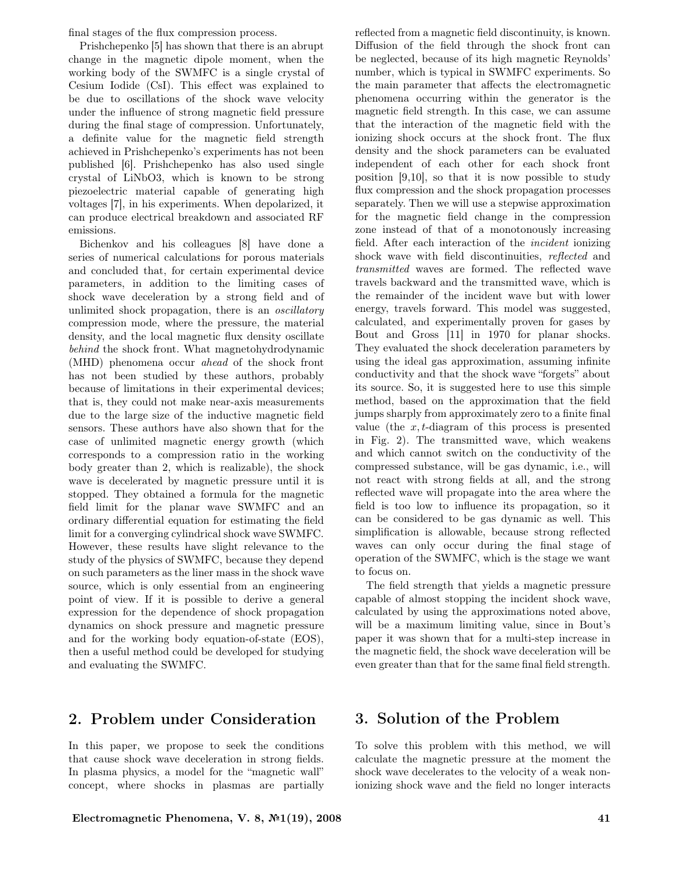final stages of the flux compression process.

Prishchepenko [5] has shown that there is an abrupt change in the magnetic dipole moment, when the working body of the SWMFC is a single crystal of Cesium Iodide (CsI). This effect was explained to be due to oscillations of the shock wave velocity under the influence of strong magnetic field pressure during the final stage of compression. Unfortunately, a definite value for the magnetic field strength achieved in Prishchepenko's experiments has not been published [6]. Prishchepenko has also used single crystal of LiNbO3, which is known to be strong piezoelectric material capable of generating high voltages [7], in his experiments. When depolarized, it can produce electrical breakdown and associated RF emissions.

Bichenkov and his colleagues [8] have done a series of numerical calculations for porous materials and concluded that, for certain experimental device parameters, in addition to the limiting cases of shock wave deceleration by a strong field and of unlimited shock propagation, there is an oscillatory compression mode, where the pressure, the material density, and the local magnetic flux density oscillate behind the shock front. What magnetohydrodynamic (MHD) phenomena occur ahead of the shock front has not been studied by these authors, probably because of limitations in their experimental devices; that is, they could not make near-axis measurements due to the large size of the inductive magnetic field sensors. These authors have also shown that for the case of unlimited magnetic energy growth (which corresponds to a compression ratio in the working body greater than 2, which is realizable), the shock wave is decelerated by magnetic pressure until it is stopped. They obtained a formula for the magnetic field limit for the planar wave SWMFC and an ordinary differential equation for estimating the field limit for a converging cylindrical shock wave SWMFC. However, these results have slight relevance to the study of the physics of SWMFC, because they depend on such parameters as the liner mass in the shock wave source, which is only essential from an engineering point of view. If it is possible to derive a general expression for the dependence of shock propagation dynamics on shock pressure and magnetic pressure and for the working body equation-of-state (EOS), then a useful method could be developed for studying and evaluating the SWMFC.

## 2. Problem under Consideration

In this paper, we propose to seek the conditions that cause shock wave deceleration in strong fields. In plasma physics, a model for the "magnetic wall" concept, where shocks in plasmas are partially reflected from a magnetic field discontinuity, is known. Diffusion of the field through the shock front can be neglected, because of its high magnetic Reynolds' number, which is typical in SWMFC experiments. So the main parameter that affects the electromagnetic phenomena occurring within the generator is the magnetic field strength. In this case, we can assume that the interaction of the magnetic field with the ionizing shock occurs at the shock front. The flux density and the shock parameters can be evaluated independent of each other for each shock front position [9,10], so that it is now possible to study flux compression and the shock propagation processes separately. Then we will use a stepwise approximation for the magnetic field change in the compression zone instead of that of a monotonously increasing field. After each interaction of the incident ionizing shock wave with field discontinuities, reflected and transmitted waves are formed. The reflected wave travels backward and the transmitted wave, which is the remainder of the incident wave but with lower energy, travels forward. This model was suggested, calculated, and experimentally proven for gases by Bout and Gross [11] in 1970 for planar shocks. They evaluated the shock deceleration parameters by using the ideal gas approximation, assuming infinite conductivity and that the shock wave "forgets" about its source. So, it is suggested here to use this simple method, based on the approximation that the field jumps sharply from approximately zero to a finite final value (the  $x, t$ -diagram of this process is presented in Fig. 2). The transmitted wave, which weakens and which cannot switch on the conductivity of the compressed substance, will be gas dynamic, i.e., will not react with strong fields at all, and the strong reflected wave will propagate into the area where the field is too low to influence its propagation, so it can be considered to be gas dynamic as well. This simplification is allowable, because strong reflected waves can only occur during the final stage of operation of the SWMFC, which is the stage we want to focus on.

The field strength that yields a magnetic pressure capable of almost stopping the incident shock wave, calculated by using the approximations noted above, will be a maximum limiting value, since in Bout's paper it was shown that for a multi-step increase in the magnetic field, the shock wave deceleration will be even greater than that for the same final field strength.

## 3. Solution of the Problem

To solve this problem with this method, we will calculate the magnetic pressure at the moment the shock wave decelerates to the velocity of a weak nonionizing shock wave and the field no longer interacts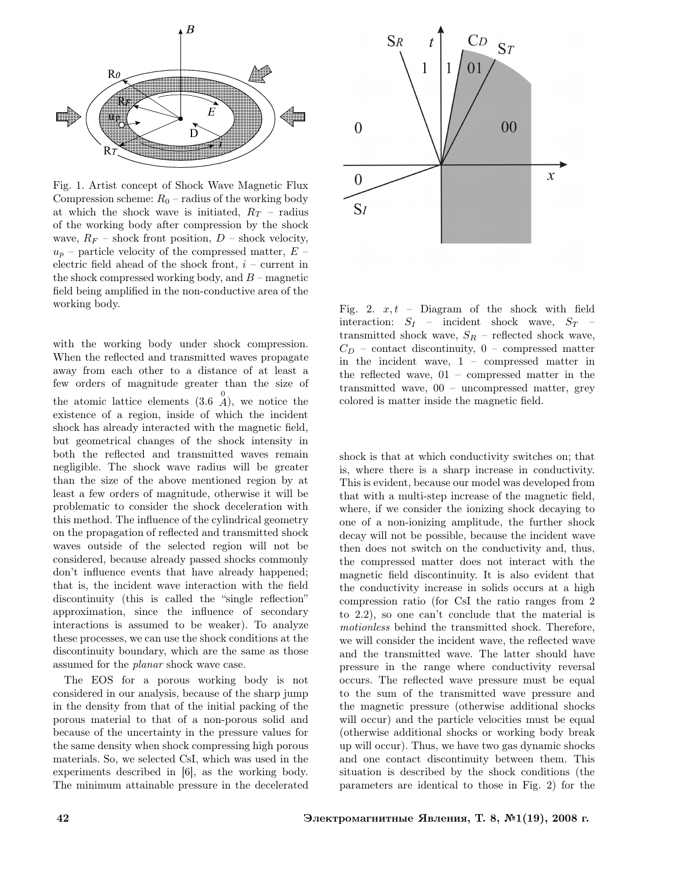

Fig. 1. Artist concept of Shock Wave Magnetic Flux Compression scheme:  $R_0$  – radius of the working body at which the shock wave is initiated,  $R_T$  – radius of the working body after compression by the shock wave,  $R_F$  – shock front position,  $D$  – shock velocity,  $u_p$  – particle velocity of the compressed matter,  $E$  – electric field ahead of the shock front,  $i$  – current in the shock compressed working body, and  $B$  – magnetic field being amplified in the non-conductive area of the working body.

with the working body under shock compression. When the reflected and transmitted waves propagate away from each other to a distance of at least a few orders of magnitude greater than the size of the atomic lattice elements  $(3.6 \tA)$ , we notice the existence of a region, inside of which the incident shock has already interacted with the magnetic field, but geometrical changes of the shock intensity in both the reflected and transmitted waves remain negligible. The shock wave radius will be greater than the size of the above mentioned region by at least a few orders of magnitude, otherwise it will be problematic to consider the shock deceleration with this method. The influence of the cylindrical geometry on the propagation of reflected and transmitted shock waves outside of the selected region will not be considered, because already passed shocks commonly don't influence events that have already happened; that is, the incident wave interaction with the field discontinuity (this is called the "single reflection" approximation, since the influence of secondary interactions is assumed to be weaker). To analyze these processes, we can use the shock conditions at the discontinuity boundary, which are the same as those assumed for the planar shock wave case.

The EOS for a porous working body is not considered in our analysis, because of the sharp jump in the density from that of the initial packing of the porous material to that of a non-porous solid and because of the uncertainty in the pressure values for the same density when shock compressing high porous materials. So, we selected CsI, which was used in the experiments described in [6], as the working body. The minimum attainable pressure in the decelerated



Fig. 2.  $x, t$  – Diagram of the shock with field interaction:  $S_I$  – incident shock wave,  $S_T$  – transmitted shock wave,  $S_R$  – reflected shock wave,  $C_D$  – contact discontinuity,  $0$  – compressed matter in the incident wave, 1 – compressed matter in the reflected wave, 01 – compressed matter in the transmitted wave, 00 – uncompressed matter, grey colored is matter inside the magnetic field.

shock is that at which conductivity switches on; that is, where there is a sharp increase in conductivity. This is evident, because our model was developed from that with a multi-step increase of the magnetic field, where, if we consider the ionizing shock decaying to one of a non-ionizing amplitude, the further shock decay will not be possible, because the incident wave then does not switch on the conductivity and, thus, the compressed matter does not interact with the magnetic field discontinuity. It is also evident that the conductivity increase in solids occurs at a high compression ratio (for CsI the ratio ranges from 2 to 2.2), so one can't conclude that the material is motionless behind the transmitted shock. Therefore, we will consider the incident wave, the reflected wave and the transmitted wave. The latter should have pressure in the range where conductivity reversal occurs. The reflected wave pressure must be equal to the sum of the transmitted wave pressure and the magnetic pressure (otherwise additional shocks will occur) and the particle velocities must be equal (otherwise additional shocks or working body break up will occur). Thus, we have two gas dynamic shocks and one contact discontinuity between them. This situation is described by the shock conditions (the parameters are identical to those in Fig. 2) for the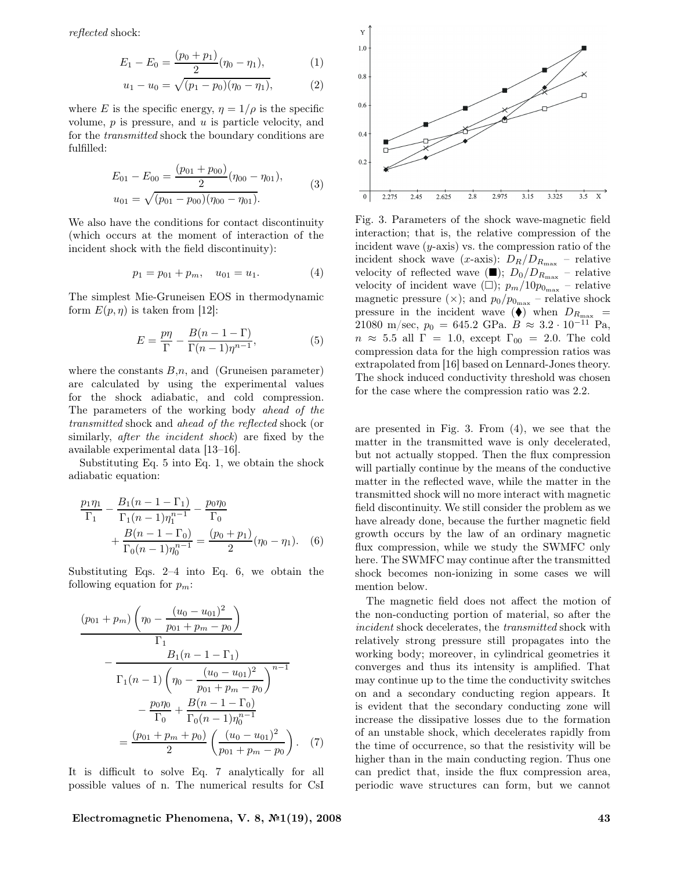reflected shock:

$$
E_1 - E_0 = \frac{(p_0 + p_1)}{2} (\eta_0 - \eta_1), \tag{1}
$$

$$
u_1 - u_0 = \sqrt{(p_1 - p_0)(\eta_0 - \eta_1)}, \tag{2}
$$

where E is the specific energy,  $\eta = 1/\rho$  is the specific volume,  $p$  is pressure, and  $u$  is particle velocity, and for the transmitted shock the boundary conditions are fulfilled:

$$
E_{01} - E_{00} = \frac{(p_{01} + p_{00})}{2} (\eta_{00} - \eta_{01}),
$$
  

$$
u_{01} = \sqrt{(p_{01} - p_{00})(\eta_{00} - \eta_{01})}.
$$
 (3)

We also have the conditions for contact discontinuity (which occurs at the moment of interaction of the incident shock with the field discontinuity):

$$
p_1 = p_{01} + p_m, \quad u_{01} = u_1. \tag{4}
$$

The simplest Mie-Gruneisen EOS in thermodynamic form  $E(p, \eta)$  is taken from [12]:

$$
E = \frac{p\eta}{\Gamma} - \frac{B(n-1-\Gamma)}{\Gamma(n-1)\eta^{n-1}},
$$
\n(5)

where the constants  $B_n$ , and (Gruneisen parameter) are calculated by using the experimental values for the shock adiabatic, and cold compression. The parameters of the working body ahead of the transmitted shock and ahead of the reflected shock (or similarly, after the incident shock) are fixed by the available experimental data [13–16].

Substituting Eq. 5 into Eq. 1, we obtain the shock adiabatic equation:

$$
\frac{p_1 \eta_1}{\Gamma_1} - \frac{B_1 (n - 1 - \Gamma_1)}{\Gamma_1 (n - 1) \eta_1^{n - 1}} - \frac{p_0 \eta_0}{\Gamma_0} + \frac{B(n - 1 - \Gamma_0)}{\Gamma_0 (n - 1) \eta_0^{n - 1}} = \frac{(p_0 + p_1)}{2} (\eta_0 - \eta_1).
$$
 (6)

Substituting Eqs. 2–4 into Eq. 6, we obtain the following equation for  $p_m$ :

$$
\frac{(p_{01} + p_m) \left(\eta_0 - \frac{(u_0 - u_{01})^2}{p_{01} + p_m - p_0}\right)}{\Gamma_1}
$$

$$
- \frac{B_1 (n - 1 - \Gamma_1)}{\Gamma_1 (n - 1) \left(\eta_0 - \frac{(u_0 - u_{01})^2}{p_{01} + p_m - p_0}\right)^{n - 1}}
$$

$$
- \frac{p_0 \eta_0}{\Gamma_0} + \frac{B(n - 1 - \Gamma_0)}{\Gamma_0 (n - 1) \eta_0^{n - 1}}
$$

$$
= \frac{(p_{01} + p_m + p_0)}{2} \left(\frac{(u_0 - u_{01})^2}{p_{01} + p_m - p_0}\right). (7)
$$

It is difficult to solve Eq. 7 analytically for all possible values of n. The numerical results for CsI



Fig. 3. Parameters of the shock wave-magnetic field interaction; that is, the relative compression of the incident wave  $(y\text{-axis})$  vs. the compression ratio of the incident shock wave (x-axis):  $D_R/D_{R_{\text{max}}}$  – relative velocity of reflected wave  $(\blacksquare); D_0/D_{R_{\text{max}}}$  – relative velocity of incident wave  $(\Box)$ ;  $p_m/10p_{0_{\text{max}}}$  – relative magnetic pressure ( $\times$ ); and  $p_0/p_{0_{\text{max}}}$  – relative shock pressure in the incident wave ( $\bullet$ ) when  $D_{R_{\text{max}}}$  = 21080 m/sec,  $p_0 = 645.2$  GPa.  $B \approx 3.2 \cdot 10^{-11}$  Pa,  $n \approx 5.5$  all  $\Gamma = 1.0$ , except  $\Gamma_{00} = 2.0$ . The cold compression data for the high compression ratios was extrapolated from [16] based on Lennard-Jones theory. The shock induced conductivity threshold was chosen for the case where the compression ratio was 2.2.

are presented in Fig. 3. From (4), we see that the matter in the transmitted wave is only decelerated, but not actually stopped. Then the flux compression will partially continue by the means of the conductive matter in the reflected wave, while the matter in the transmitted shock will no more interact with magnetic field discontinuity. We still consider the problem as we have already done, because the further magnetic field growth occurs by the law of an ordinary magnetic flux compression, while we study the SWMFC only here. The SWMFC may continue after the transmitted shock becomes non-ionizing in some cases we will mention below.

The magnetic field does not affect the motion of the non-conducting portion of material, so after the incident shock decelerates, the transmitted shock with relatively strong pressure still propagates into the working body; moreover, in cylindrical geometries it converges and thus its intensity is amplified. That may continue up to the time the conductivity switches on and a secondary conducting region appears. It is evident that the secondary conducting zone will increase the dissipative losses due to the formation of an unstable shock, which decelerates rapidly from the time of occurrence, so that the resistivity will be higher than in the main conducting region. Thus one can predict that, inside the flux compression area, periodic wave structures can form, but we cannot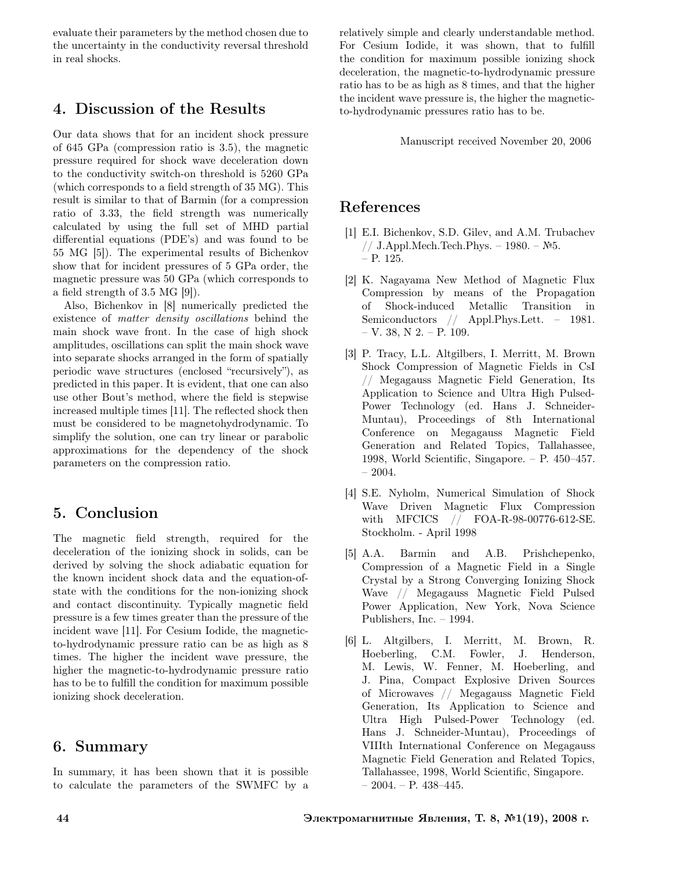evaluate their parameters by the method chosen due to the uncertainty in the conductivity reversal threshold in real shocks.

## 4. Discussion of the Results

Our data shows that for an incident shock pressure of 645 GPa (compression ratio is 3.5), the magnetic pressure required for shock wave deceleration down to the conductivity switch-on threshold is 5260 GPa (which corresponds to a field strength of 35 MG). This result is similar to that of Barmin (for a compression ratio of 3.33, the field strength was numerically calculated by using the full set of MHD partial differential equations (PDE's) and was found to be 55 MG [5]). The experimental results of Bichenkov show that for incident pressures of 5 GPa order, the magnetic pressure was 50 GPa (which corresponds to a field strength of 3.5 MG [9]).

Also, Bichenkov in [8] numerically predicted the existence of matter density oscillations behind the main shock wave front. In the case of high shock amplitudes, oscillations can split the main shock wave into separate shocks arranged in the form of spatially periodic wave structures (enclosed "recursively"), as predicted in this paper. It is evident, that one can also use other Bout's method, where the field is stepwise increased multiple times [11]. The reflected shock then must be considered to be magnetohydrodynamic. To simplify the solution, one can try linear or parabolic approximations for the dependency of the shock parameters on the compression ratio.

# 5. Conclusion

The magnetic field strength, required for the deceleration of the ionizing shock in solids, can be derived by solving the shock adiabatic equation for the known incident shock data and the equation-ofstate with the conditions for the non-ionizing shock and contact discontinuity. Typically magnetic field pressure is a few times greater than the pressure of the incident wave [11]. For Cesium Iodide, the magneticto-hydrodynamic pressure ratio can be as high as 8 times. The higher the incident wave pressure, the higher the magnetic-to-hydrodynamic pressure ratio has to be to fulfill the condition for maximum possible ionizing shock deceleration.

## 6. Summary

In summary, it has been shown that it is possible to calculate the parameters of the SWMFC by a relatively simple and clearly understandable method. For Cesium Iodide, it was shown, that to fulfill the condition for maximum possible ionizing shock deceleration, the magnetic-to-hydrodynamic pressure ratio has to be as high as 8 times, and that the higher the incident wave pressure is, the higher the magneticto-hydrodynamic pressures ratio has to be.

Manuscript received November 20, 2006

## References

- [1] E.I. Bichenkov, S.D. Gilev, and A.M. Trubachev // J.Appl.Mech.Tech.Phys. – 1980. – №5. – P. 125.
- [2] K. Nagayama New Method of Magnetic Flux Compression by means of the Propagation of Shock-induced Metallic Transition in Semiconductors // Appl.Phys.Lett. – 1981.  $-$  V. 38, N 2.  $-$  P. 109.
- [3] P. Tracy, L.L. Altgilbers, I. Merritt, M. Brown Shock Compression of Magnetic Fields in CsI // Megagauss Magnetic Field Generation, Its Application to Science and Ultra High Pulsed-Power Technology (ed. Hans J. Schneider-Muntau), Proceedings of 8th International Conference on Megagauss Magnetic Field Generation and Related Topics, Tallahassee, 1998, World Scientific, Singapore. – P. 450–457.  $-2004.$
- [4] S.E. Nyholm, Numerical Simulation of Shock Wave Driven Magnetic Flux Compression with MFCICS // FOA-R-98-00776-612-SE. Stockholm. - April 1998
- [5] A.A. Barmin and A.B. Prishchepenko, Compression of a Magnetic Field in a Single Crystal by a Strong Converging Ionizing Shock Wave // Megagauss Magnetic Field Pulsed Power Application, New York, Nova Science Publishers, Inc. – 1994.
- [6] L. Altgilbers, I. Merritt, M. Brown, R. Hoeberling, C.M. Fowler, J. Henderson, M. Lewis, W. Fenner, M. Hoeberling, and J. Pina, Compact Explosive Driven Sources of Microwaves // Megagauss Magnetic Field Generation, Its Application to Science and Ultra High Pulsed-Power Technology (ed. Hans J. Schneider-Muntau), Proceedings of VIIIth International Conference on Megagauss Magnetic Field Generation and Related Topics, Tallahassee, 1998, World Scientific, Singapore. – 2004. – P. 438–445.